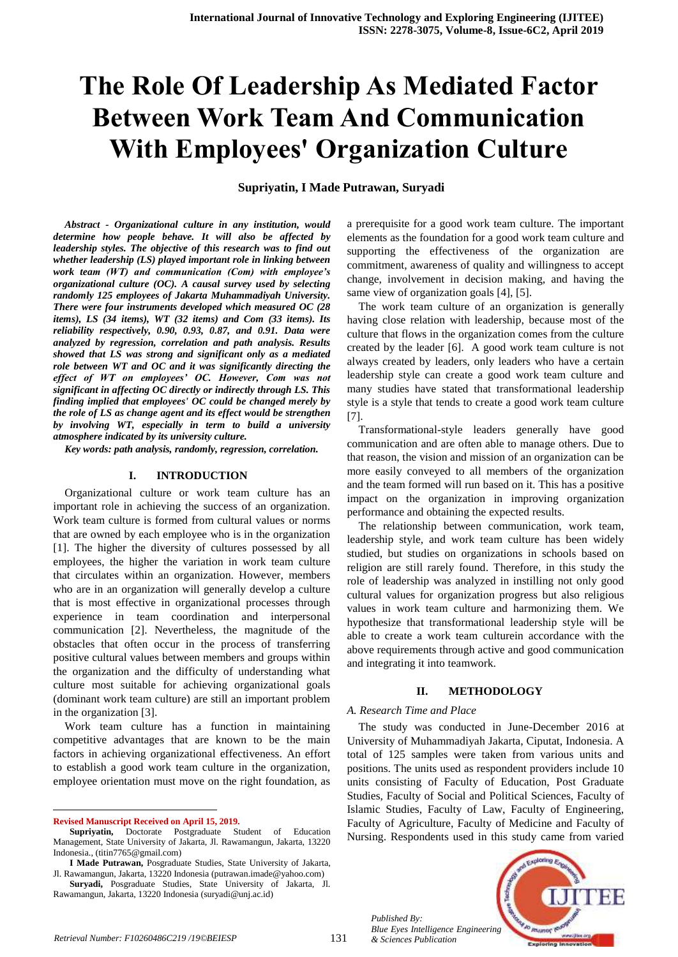# **The Role Of Leadership As Mediated Factor Between Work Team And Communication With Employees' Organization Culture**

## **Supriyatin, I Made Putrawan, Suryadi**

*Abstract - Organizational culture in any institution, would determine how people behave. It will also be affected by leadership styles. The objective of this research was to find out whether leadership (LS) played important role in linking between work team (WT) and communication (Com) with employee's organizational culture (OC). A causal survey used by selecting randomly 125 employees of Jakarta Muhammadiyah University. There were four instruments developed which measured OC (28 items), LS (34 items), WT (32 items) and Com (33 items). Its reliability respectively, 0.90, 0.93, 0.87, and 0.91. Data were analyzed by regression, correlation and path analysis. Results showed that LS was strong and significant only as a mediated role between WT and OC and it was significantly directing the effect of WT on employees' OC. However, Com was not significant in affecting OC directly or indirectly through LS. This finding implied that employees' OC could be changed merely by the role of LS as change agent and its effect would be strengthen by involving WT, especially in term to build a university atmosphere indicated by its university culture.*

*Key words: path analysis, randomly, regression, correlation.*

#### **I. INTRODUCTION**

Organizational culture or work team culture has an important role in achieving the success of an organization. Work team culture is formed from cultural values or norms that are owned by each employee who is in the organization [1]. The higher the diversity of cultures possessed by all employees, the higher the variation in work team culture that circulates within an organization. However, members who are in an organization will generally develop a culture that is most effective in organizational processes through experience in team coordination and interpersonal communication [2]. Nevertheless, the magnitude of the obstacles that often occur in the process of transferring positive cultural values between members and groups within the organization and the difficulty of understanding what culture most suitable for achieving organizational goals (dominant work team culture) are still an important problem in the organization [3].

Work team culture has a function in maintaining competitive advantages that are known to be the main factors in achieving organizational effectiveness. An effort to establish a good work team culture in the organization, employee orientation must move on the right foundation, as

**Revised Manuscript Received on April 15, 2019.**

 $\overline{a}$ 

a prerequisite for a good work team culture. The important elements as the foundation for a good work team culture and supporting the effectiveness of the organization are commitment, awareness of quality and willingness to accept change, involvement in decision making, and having the same view of organization goals [4], [5].

The work team culture of an organization is generally having close relation with leadership, because most of the culture that flows in the organization comes from the culture created by the leader [6]. A good work team culture is not always created by leaders, only leaders who have a certain leadership style can create a good work team culture and many studies have stated that transformational leadership style is a style that tends to create a good work team culture [7].

Transformational-style leaders generally have good communication and are often able to manage others. Due to that reason, the vision and mission of an organization can be more easily conveyed to all members of the organization and the team formed will run based on it. This has a positive impact on the organization in improving organization performance and obtaining the expected results.

The relationship between communication, work team, leadership style, and work team culture has been widely studied, but studies on organizations in schools based on religion are still rarely found. Therefore, in this study the role of leadership was analyzed in instilling not only good cultural values for organization progress but also religious values in work team culture and harmonizing them. We hypothesize that transformational leadership style will be able to create a work team culturein accordance with the above requirements through active and good communication and integrating it into teamwork.

#### **II. METHODOLOGY**

#### *A. Research Time and Place*

The study was conducted in June-December 2016 at University of Muhammadiyah Jakarta, Ciputat, Indonesia. A total of 125 samples were taken from various units and positions. The units used as respondent providers include 10 units consisting of Faculty of Education, Post Graduate Studies, Faculty of Social and Political Sciences, Faculty of Islamic Studies, Faculty of Law, Faculty of Engineering, Faculty of Agriculture, Faculty of Medicine and Faculty of Nursing. Respondents used in this study came from varied



*Published By: Blue Eyes Intelligence Engineering* 

**Supriyatin,** Doctorate Postgraduate Student of Education Management, State University of Jakarta, Jl. Rawamangun, Jakarta, 13220 Indonesia., (titin7765@gmail.com)

**I Made Putrawan,** Posgraduate Studies, State University of Jakarta, Jl. Rawamangun, Jakarta, 13220 Indonesia (putrawan.imade@yahoo.com)

**Suryadi,** Posgraduate Studies, State University of Jakarta, Jl. Rawamangun, Jakarta, 13220 Indonesia (suryadi@unj.ac.id)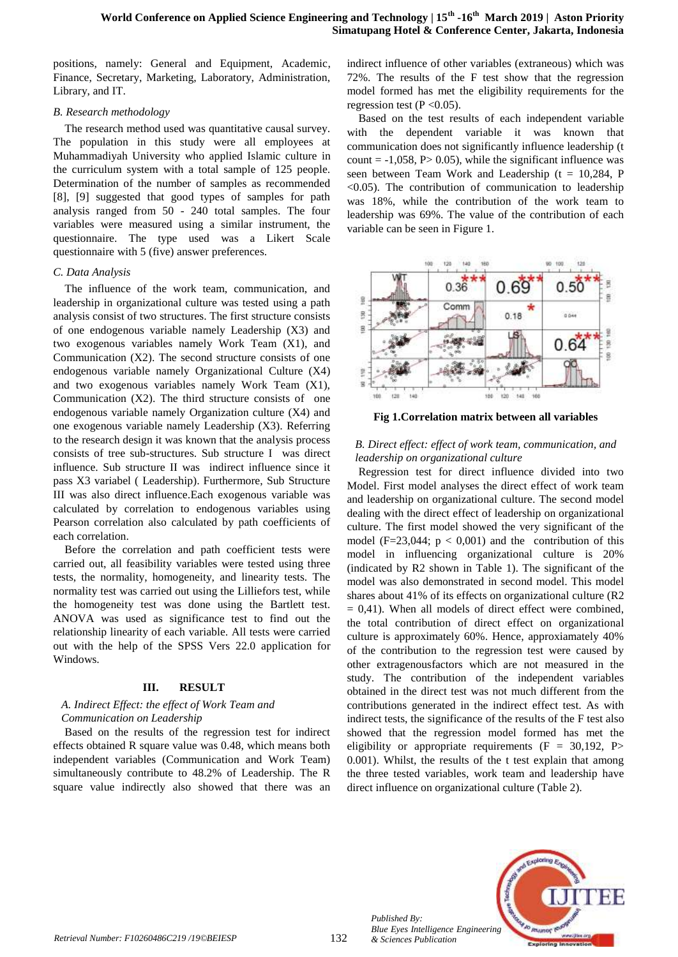positions, namely: General and Equipment, Academic, Finance, Secretary, Marketing, Laboratory, Administration, Library, and IT.

### *B. Research methodology*

The research method used was quantitative causal survey. The population in this study were all employees at Muhammadiyah University who applied Islamic culture in the curriculum system with a total sample of 125 people. Determination of the number of samples as recommended [8], [9] suggested that good types of samples for path analysis ranged from 50 - 240 total samples. The four variables were measured using a similar instrument, the questionnaire. The type used was a Likert Scale questionnaire with 5 (five) answer preferences.

## *C. Data Analysis*

The influence of the work team, communication, and leadership in organizational culture was tested using a path analysis consist of two structures. The first structure consists of one endogenous variable namely Leadership (X3) and two exogenous variables namely Work Team (X1), and Communication (X2). The second structure consists of one endogenous variable namely Organizational Culture (X4) and two exogenous variables namely Work Team (X1), Communication (X2). The third structure consists of one endogenous variable namely Organization culture (X4) and one exogenous variable namely Leadership (X3). Referring to the research design it was known that the analysis process consists of tree sub-structures. Sub structure I was direct influence. Sub structure II was indirect influence since it pass X3 variabel ( Leadership). Furthermore, Sub Structure III was also direct influence.Each exogenous variable was calculated by correlation to endogenous variables using Pearson correlation also calculated by path coefficients of each correlation.

Before the correlation and path coefficient tests were carried out, all feasibility variables were tested using three tests, the normality, homogeneity, and linearity tests. The normality test was carried out using the Lilliefors test, while the homogeneity test was done using the Bartlett test. ANOVA was used as significance test to find out the relationship linearity of each variable. All tests were carried out with the help of the SPSS Vers 22.0 application for Windows.

## **III. RESULT**

### *A. Indirect Effect: the effect of Work Team and Communication on Leadership*

Based on the results of the regression test for indirect effects obtained R square value was 0.48, which means both independent variables (Communication and Work Team) simultaneously contribute to 48.2% of Leadership. The R square value indirectly also showed that there was an

indirect influence of other variables (extraneous) which was 72%. The results of the F test show that the regression model formed has met the eligibility requirements for the regression test ( $P < 0.05$ ).

Based on the test results of each independent variable with the dependent variable it was known that communication does not significantly influence leadership (t count  $= -1,058$ , P $> 0.05$ ), while the significant influence was seen between Team Work and Leadership ( $t = 10,284$ , P  $<$ 0.05). The contribution of communication to leadership was 18%, while the contribution of the work team to leadership was 69%. The value of the contribution of each variable can be seen in Figure 1.



**Fig 1.Correlation matrix between all variables**

## *B. Direct effect: effect of work team, communication, and leadership on organizational culture*

Regression test for direct influence divided into two Model. First model analyses the direct effect of work team and leadership on organizational culture. The second model dealing with the direct effect of leadership on organizational culture. The first model showed the very significant of the model (F=23,044;  $p < 0.001$ ) and the contribution of this model in influencing organizational culture is 20% (indicated by R2 shown in Table 1). The significant of the model was also demonstrated in second model. This model shares about 41% of its effects on organizational culture (R2  $= 0.41$ ). When all models of direct effect were combined, the total contribution of direct effect on organizational culture is approximately 60%. Hence, approxiamately 40% of the contribution to the regression test were caused by other extragenousfactors which are not measured in the study. The contribution of the independent variables obtained in the direct test was not much different from the contributions generated in the indirect effect test. As with indirect tests, the significance of the results of the F test also showed that the regression model formed has met the eligibility or appropriate requirements  $(F = 30,192, P$ 0.001). Whilst, the results of the t test explain that among the three tested variables, work team and leadership have direct influence on organizational culture (Table 2).



*Published By:*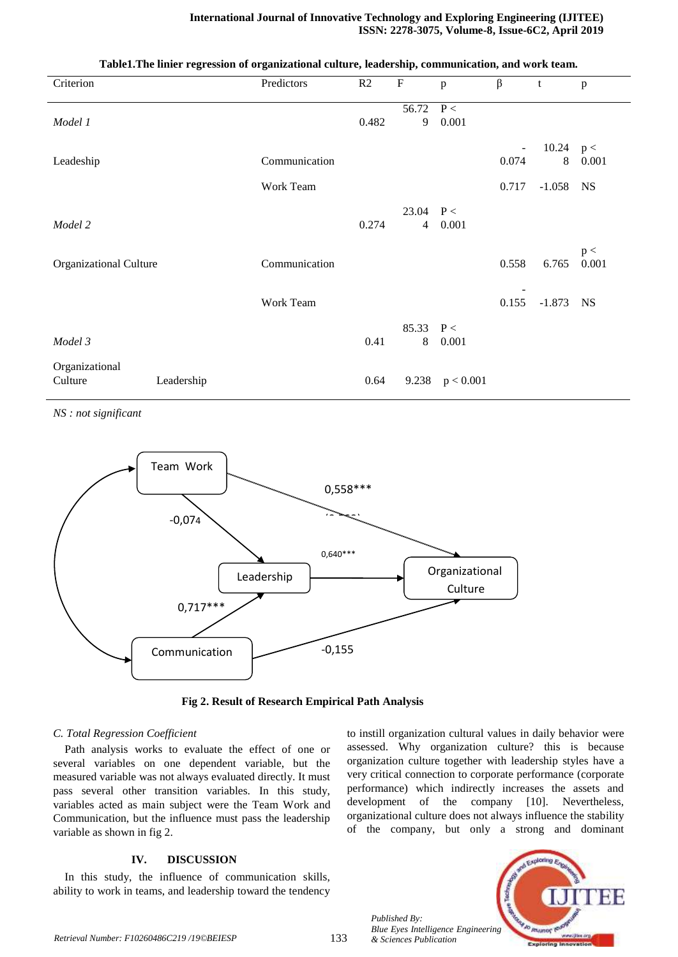| Criterion                 |            | Predictors    | R2    | $\mathbf F$                   | $\, {\bf p}$ | $\beta$ | t                | $\, {\bf p}$ |
|---------------------------|------------|---------------|-------|-------------------------------|--------------|---------|------------------|--------------|
| Model 1                   |            |               | 0.482 | 56.72<br>9                    | P<<br>0.001  |         |                  |              |
| Leadeship                 |            | Communication |       |                               |              | 0.074   | 10.24 $p <$<br>8 | 0.001        |
|                           |            | Work Team     |       |                               |              | 0.717   | $-1.058$         | <b>NS</b>    |
| Model 2                   |            |               | 0.274 | $23.04$ P <<br>$\overline{4}$ | 0.001        |         |                  |              |
| Organizational Culture    |            | Communication |       |                               |              | 0.558   | 6.765            | p <<br>0.001 |
|                           |            | Work Team     |       |                               |              | 0.155   | $-1.873$         | <b>NS</b>    |
| Model 3                   |            |               | 0.41  | 85.33<br>8                    | P<<br>0.001  |         |                  |              |
| Organizational<br>Culture | Leadership |               | 0.64  | 9.238                         | p < 0.001    |         |                  |              |

**Table1.The linier regression of organizational culture, leadership, communication, and work team.**

*NS : not significant*



**Fig 2. Result of Research Empirical Path Analysis**

133

## *C. Total Regression Coefficient*

Path analysis works to evaluate the effect of one or several variables on one dependent variable, but the measured variable was not always evaluated directly. It must pass several other transition variables. In this study, variables acted as main subject were the Team Work and Communication, but the influence must pass the leadership variable as shown in fig 2.

## **IV. DISCUSSION**

In this study, the influence of communication skills, ability to work in teams, and leadership toward the tendency to instill organization cultural values in daily behavior were assessed. Why organization culture? this is because organization culture together with leadership styles have a very critical connection to corporate performance (corporate performance) which indirectly increases the assets and development of the company [10]. Nevertheless, organizational culture does not always influence the stability of the company, but only a strong and dominant

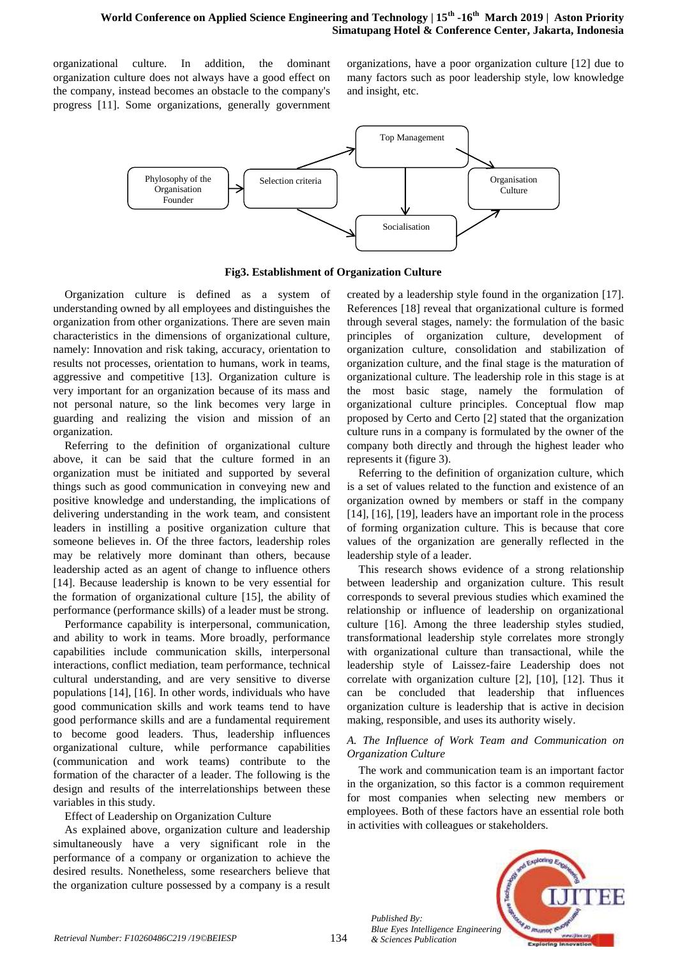organizational culture. In addition, the dominant organization culture does not always have a good effect on the company, instead becomes an obstacle to the company's progress [11]. Some organizations, generally government organizations, have a poor organization culture [12] due to many factors such as poor leadership style, low knowledge and insight, etc.



**Fig3. Establishment of Organization Culture**

Organization culture is defined as a system of understanding owned by all employees and distinguishes the organization from other organizations. There are seven main characteristics in the dimensions of organizational culture, namely: Innovation and risk taking, accuracy, orientation to results not processes, orientation to humans, work in teams, aggressive and competitive [13]. Organization culture is very important for an organization because of its mass and not personal nature, so the link becomes very large in guarding and realizing the vision and mission of an organization.

Referring to the definition of organizational culture above, it can be said that the culture formed in an organization must be initiated and supported by several things such as good communication in conveying new and positive knowledge and understanding, the implications of delivering understanding in the work team, and consistent leaders in instilling a positive organization culture that someone believes in. Of the three factors, leadership roles may be relatively more dominant than others, because leadership acted as an agent of change to influence others [14]. Because leadership is known to be very essential for the formation of organizational culture [15], the ability of performance (performance skills) of a leader must be strong.

Performance capability is interpersonal, communication, and ability to work in teams. More broadly, performance capabilities include communication skills, interpersonal interactions, conflict mediation, team performance, technical cultural understanding, and are very sensitive to diverse populations [14], [16]. In other words, individuals who have good communication skills and work teams tend to have good performance skills and are a fundamental requirement to become good leaders. Thus, leadership influences organizational culture, while performance capabilities (communication and work teams) contribute to the formation of the character of a leader. The following is the design and results of the interrelationships between these variables in this study.

Effect of Leadership on Organization Culture

As explained above, organization culture and leadership simultaneously have a very significant role in the performance of a company or organization to achieve the desired results. Nonetheless, some researchers believe that the organization culture possessed by a company is a result

created by a leadership style found in the organization [17]. References [18] reveal that organizational culture is formed through several stages, namely: the formulation of the basic principles of organization culture, development of organization culture, consolidation and stabilization of organization culture, and the final stage is the maturation of organizational culture. The leadership role in this stage is at the most basic stage, namely the formulation of organizational culture principles. Conceptual flow map proposed by Certo and Certo [2] stated that the organization culture runs in a company is formulated by the owner of the company both directly and through the highest leader who represents it (figure 3).

Referring to the definition of organization culture, which is a set of values related to the function and existence of an organization owned by members or staff in the company [14], [16], [19], leaders have an important role in the process of forming organization culture. This is because that core values of the organization are generally reflected in the leadership style of a leader.

This research shows evidence of a strong relationship between leadership and organization culture. This result corresponds to several previous studies which examined the relationship or influence of leadership on organizational culture [16]. Among the three leadership styles studied, transformational leadership style correlates more strongly with organizational culture than transactional, while the leadership style of Laissez-faire Leadership does not correlate with organization culture [2], [10], [12]. Thus it can be concluded that leadership that influences organization culture is leadership that is active in decision making, responsible, and uses its authority wisely.

# *A. The Influence of Work Team and Communication on Organization Culture*

The work and communication team is an important factor in the organization, so this factor is a common requirement for most companies when selecting new members or employees. Both of these factors have an essential role both in activities with colleagues or stakeholders.



134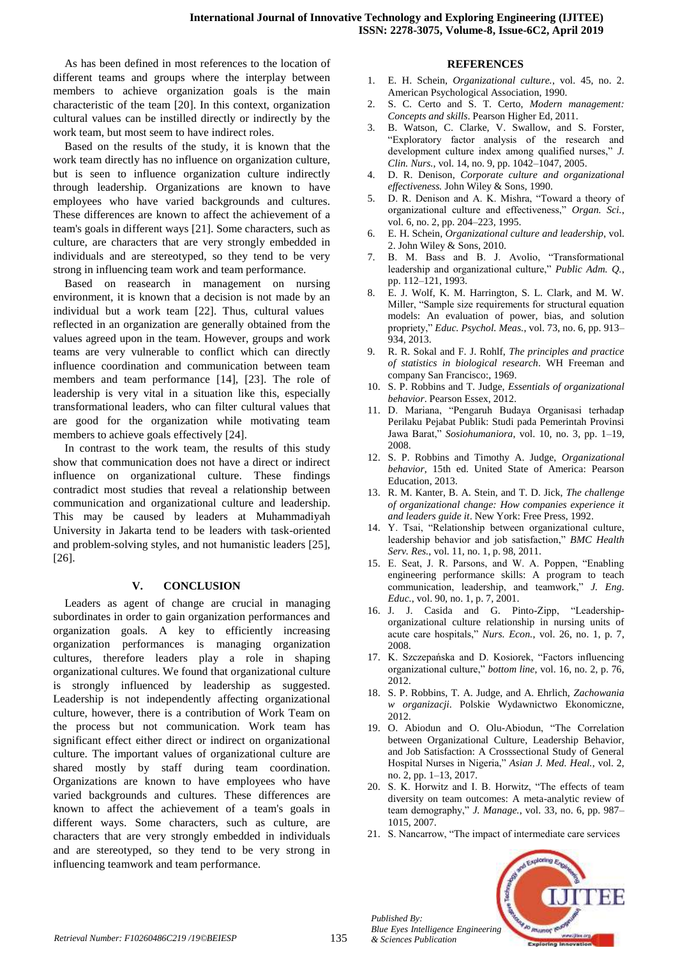As has been defined in most references to the location of different teams and groups where the interplay between members to achieve organization goals is the main characteristic of the team [20]. In this context, organization cultural values can be instilled directly or indirectly by the work team, but most seem to have indirect roles.

Based on the results of the study, it is known that the work team directly has no influence on organization culture, but is seen to influence organization culture indirectly through leadership. Organizations are known to have employees who have varied backgrounds and cultures. These differences are known to affect the achievement of a team's goals in different ways [21]. Some characters, such as culture, are characters that are very strongly embedded in individuals and are stereotyped, so they tend to be very strong in influencing team work and team performance.

Based on reasearch in management on nursing environment, it is known that a decision is not made by an individual but a work team [22]. Thus, cultural values reflected in an organization are generally obtained from the values agreed upon in the team. However, groups and work teams are very vulnerable to conflict which can directly influence coordination and communication between team members and team performance [14], [23]. The role of leadership is very vital in a situation like this, especially transformational leaders, who can filter cultural values that are good for the organization while motivating team members to achieve goals effectively [24].

In contrast to the work team, the results of this study show that communication does not have a direct or indirect influence on organizational culture. These findings contradict most studies that reveal a relationship between communication and organizational culture and leadership. This may be caused by leaders at Muhammadiyah University in Jakarta tend to be leaders with task-oriented and problem-solving styles, and not humanistic leaders [25], [26].

## **V. CONCLUSION**

Leaders as agent of change are crucial in managing subordinates in order to gain organization performances and organization goals. A key to efficiently increasing organization performances is managing organization cultures, therefore leaders play a role in shaping organizational cultures. We found that organizational culture is strongly influenced by leadership as suggested. Leadership is not independently affecting organizational culture, however, there is a contribution of Work Team on the process but not communication. Work team has significant effect either direct or indirect on organizational culture. The important values of organizational culture are shared mostly by staff during team coordination. Organizations are known to have employees who have varied backgrounds and cultures. These differences are known to affect the achievement of a team's goals in different ways. Some characters, such as culture, are characters that are very strongly embedded in individuals and are stereotyped, so they tend to be very strong in influencing teamwork and team performance.

# **REFERENCES**

- 1. E. H. Schein, *Organizational culture.*, vol. 45, no. 2. American Psychological Association, 1990.
- 2. S. C. Certo and S. T. Certo, *Modern management: Concepts and skills*. Pearson Higher Ed, 2011.
- 3. B. Watson, C. Clarke, V. Swallow, and S. Forster, "Exploratory factor analysis of the research and development culture index among qualified nurses," *J. Clin. Nurs.*, vol. 14, no. 9, pp. 1042–1047, 2005.
- 4. D. R. Denison, *Corporate culture and organizational effectiveness.* John Wiley & Sons, 1990.
- 5. D. R. Denison and A. K. Mishra, "Toward a theory of organizational culture and effectiveness," *Organ. Sci.*, vol. 6, no. 2, pp. 204–223, 1995.
- 6. E. H. Schein, *Organizational culture and leadership*, vol. 2. John Wiley & Sons, 2010.
- 7. B. M. Bass and B. J. Avolio, "Transformational leadership and organizational culture," *Public Adm. Q.*, pp. 112–121, 1993.
- 8. E. J. Wolf, K. M. Harrington, S. L. Clark, and M. W. Miller, "Sample size requirements for structural equation models: An evaluation of power, bias, and solution propriety," *Educ. Psychol. Meas.*, vol. 73, no. 6, pp. 913– 934, 2013.
- 9. R. R. Sokal and F. J. Rohlf, *The principles and practice of statistics in biological research*. WH Freeman and company San Francisco:, 1969.
- 10. S. P. Robbins and T. Judge, *Essentials of organizational behavior*. Pearson Essex, 2012.
- 11. D. Mariana, "Pengaruh Budaya Organisasi terhadap Perilaku Pejabat Publik: Studi pada Pemerintah Provinsi Jawa Barat," *Sosiohumaniora*, vol. 10, no. 3, pp. 1–19, 2008.
- 12. S. P. Robbins and Timothy A. Judge, *Organizational behavior*, 15th ed. United State of America: Pearson Education, 2013.
- 13. R. M. Kanter, B. A. Stein, and T. D. Jick, *The challenge of organizational change: How companies experience it and leaders guide it*. New York: Free Press, 1992.
- 14. Y. Tsai, "Relationship between organizational culture, leadership behavior and job satisfaction," *BMC Health Serv. Res.*, vol. 11, no. 1, p. 98, 2011.
- 15. E. Seat, J. R. Parsons, and W. A. Poppen, "Enabling engineering performance skills: A program to teach communication, leadership, and teamwork," *J. Eng. Educ.*, vol. 90, no. 1, p. 7, 2001.
- 16. J. J. Casida and G. Pinto-Zipp, "Leadershiporganizational culture relationship in nursing units of acute care hospitals," *Nurs. Econ.*, vol. 26, no. 1, p. 7, 2008.
- 17. K. Szczepańska and D. Kosiorek, "Factors influencing organizational culture," *bottom line*, vol. 16, no. 2, p. 76, 2012.
- 18. S. P. Robbins, T. A. Judge, and A. Ehrlich, *Zachowania w organizacji*. Polskie Wydawnictwo Ekonomiczne, 2012.
- 19. O. Abiodun and O. Olu-Abiodun, "The Correlation between Organizational Culture, Leadership Behavior, and Job Satisfaction: A Crosssectional Study of General Hospital Nurses in Nigeria," *Asian J. Med. Heal.*, vol. 2, no. 2, pp. 1–13, 2017.
- 20. S. K. Horwitz and I. B. Horwitz, "The effects of team diversity on team outcomes: A meta-analytic review of team demography," *J. Manage.*, vol. 33, no. 6, pp. 987– 1015, 2007.
- 21. S. Nancarrow, "The impact of intermediate care services



*Published By:*